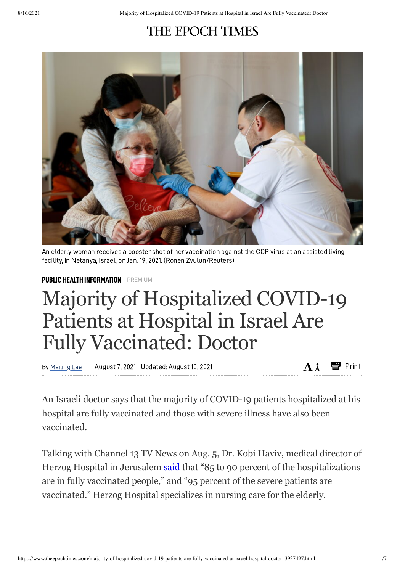## THE EPOCH TIMES



An elderly woman receives a booster shot of her vaccination against the CCP virus at an assisted living facility, in Netanya, Israel, on Jan. 19, 2021. (Ronen Zvulun/Reuters)

PUBLIC HEALTH [INFORMATION](https://www.theepochtimes.com/c-public-health-information) PREMIUM

## Majority of Hospitalized COVID-19 Patients at Hospital in Israel Are Fully Vaccinated: Doctor

By Meiling Lee | August 7, 2021 Updated: August 10, 2021  **Print AL AL Print** 

An Israeli doctor says that the majority of COVID-19 patients hospitalized at his hospital are fully vaccinated and those with severe illness have also been vaccinated.

Talking with Channel 13 TV News on Aug. 5, Dr. Kobi Haviv, medical director of Herzog Hospital in Jerusalem [said](https://twitter.com/RanIsraeli/status/1423322271503028228) that "85 to 90 percent of the hospitalizations are in fully vaccinated people," and "95 percent of the severe patients are vaccinated." Herzog Hospital specializes in nursing care for the elderly.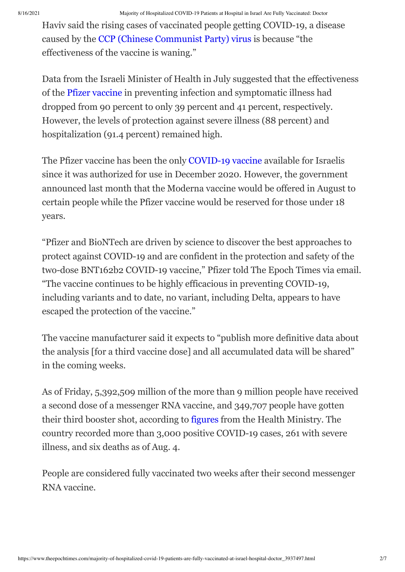Haviv said the rising cases of vaccinated people getting COVID-19, a disease caused by the CCP (Chinese [Communist](https://www.theepochtimes.com/giving-the-right-name-to-the-virus-causing-a-worldwide-pandemic-2_3277200.html) Party) virus is because "the effectiveness of the vaccine is waning."

Data from the Israeli Minister of Health in July suggested that the effectiveness of the Pfizer [vaccine](https://www.theepochtimes.com/t-pfizer-vaccine) in preventing infection and symptomatic illness had dropped from 90 percent to only 39 percent and 41 percent, respectively. However, the levels of protection against severe illness (88 percent) and hospitalization (91.4 percent) remained high.

The Pfizer vaccine has been the only [COVID-19](https://www.theepochtimes.com/t-covid-19-vaccine) vaccine available for Israelis since it was authorized for use in December 2020. However, the government announced last month that the Moderna vaccine would be offered in August to certain people while the Pfizer vaccine would be reserved for those under 18 years.

"Pfizer and BioNTech are driven by science to discover the best approaches to protect against COVID-19 and are confident in the protection and safety of the two-dose BNT162b2 COVID-19 vaccine," Pfizer told The Epoch Times via email. "The vaccine continues to be highly efficacious in preventing COVID-19, including variants and to date, no variant, including Delta, appears to have escaped the protection of the vaccine."

The vaccine manufacturer said it expects to "publish more definitive data about the analysis [for a third vaccine dose] and all accumulated data will be shared" in the coming weeks.

As of Friday, 5,392,509 million of the more than 9 million people have received a second dose of a messenger RNA vaccine, and 349,707 people have gotten their third booster shot, according to [figures](https://datadashboard.health.gov.il/COVID-19/general) from the Health Ministry. The country recorded more than 3,000 positive COVID-19 cases, 261 with severe illness, and six deaths as of Aug. 4.

People are considered fully vaccinated two weeks after their second messenger RNA vaccine.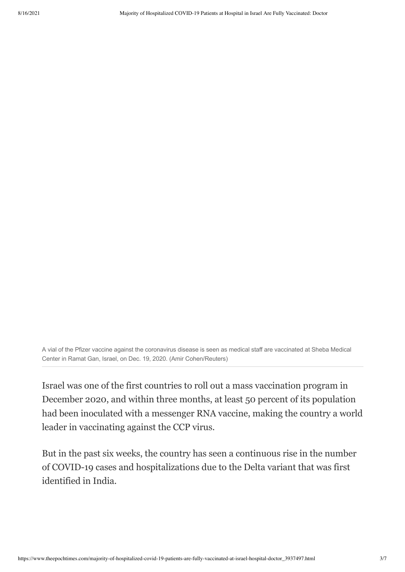A vial of the Pfizer vaccine against the coronavirus disease is seen as medical staff are vaccinated at Sheba Medical Center in Ramat Gan, Israel, on Dec. 19, 2020. (Amir Cohen/Reuters)

Israel was one of the first countries to roll out a mass vaccination program in December 2020, and within three months, at least 50 percent of its population had been inoculated with a messenger RNA vaccine, making the country a world leader in vaccinating against the CCP virus.

But in the past six weeks, the country has seen a continuous rise in the number of COVID-19 cases and hospitalizations due to the Delta variant that was first identified in India.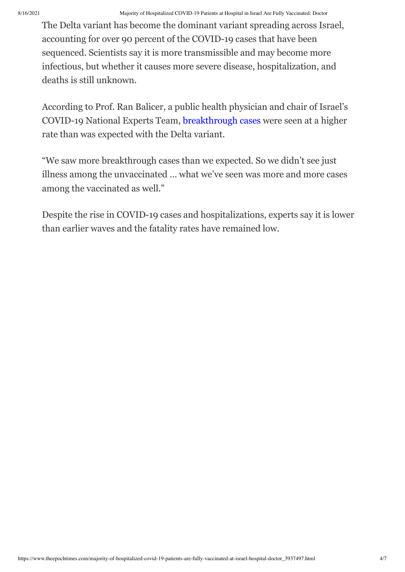The Delta variant has become the dominant variant spreading across Israel, accounting for over 90 percent of the COVID-19 cases that have been sequenced. Scientists say it is more transmissible and may become more infectious, but whether it causes more severe disease, hospitalization, and deaths is still unknown.

According to Prof. Ran Balicer, a public health physician and chair of Israel's COVID-19 National Experts Team, [breakthrough](https://www.theepochtimes.com/t-breakthrough-cases) cases were seen at a higher rate than was expected with the Delta variant.

"We saw more breakthrough cases than we expected. So we didn't see just illness among the unvaccinated … what we've seen was more and more cases among the vaccinated as well."

Despite the rise in COVID-19 cases and hospitalizations, experts say it is lower than earlier waves and the fatality rates have remained low.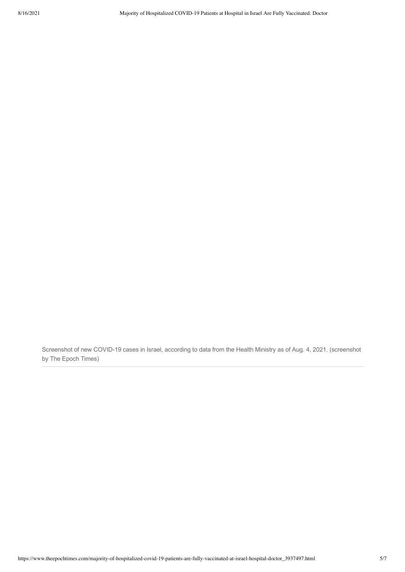Screenshot of new COVID-19 cases in Israel, according to data from the Health Ministry as of Aug. 4, 2021. (screenshot by The Epoch Times)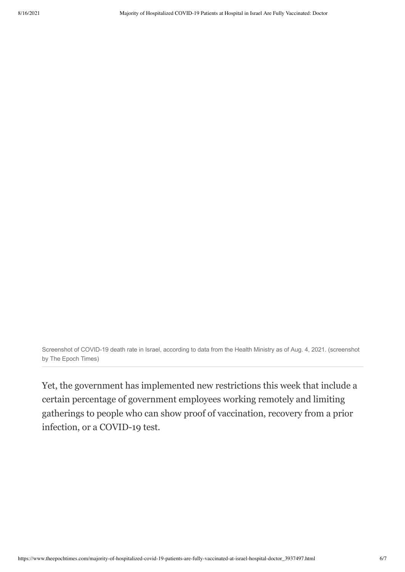Screenshot of COVID-19 death rate in Israel, according to data from the Health Ministry as of Aug. 4, 2021. (screenshot by The Epoch Times)

Yet, the government has implemented new restrictions this week that include a certain percentage of government employees working remotely and limiting gatherings to people who can show proof of vaccination, recovery from a prior infection, or a COVID-19 test.